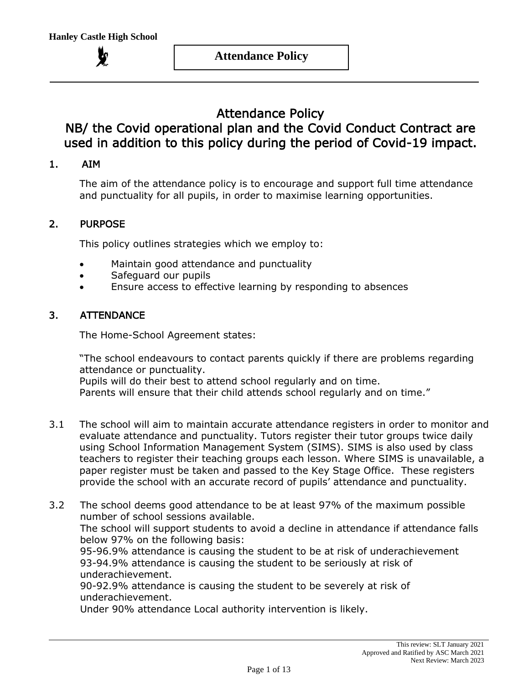**Attendance Policy**

# Attendance Policy

# NB/ the Covid operational plan and the Covid Conduct Contract are used in addition to this policy during the period of Covid-19 impact.

# 1. AIM

The aim of the attendance policy is to encourage and support full time attendance and punctuality for all pupils, in order to maximise learning opportunities.

#### 2. PURPOSE

This policy outlines strategies which we employ to:

- Maintain good attendance and punctuality
- Safeguard our pupils
- Ensure access to effective learning by responding to absences

### 3. ATTENDANCE

The Home-School Agreement states:

"The school endeavours to contact parents quickly if there are problems regarding attendance or punctuality.

Pupils will do their best to attend school regularly and on time.

Parents will ensure that their child attends school regularly and on time."

- 3.1 The school will aim to maintain accurate attendance registers in order to monitor and evaluate attendance and punctuality. Tutors register their tutor groups twice daily using School Information Management System (SIMS). SIMS is also used by class teachers to register their teaching groups each lesson. Where SIMS is unavailable, a paper register must be taken and passed to the Key Stage Office. These registers provide the school with an accurate record of pupils' attendance and punctuality.
- 3.2 The school deems good attendance to be at least 97% of the maximum possible number of school sessions available. The school will support students to avoid a decline in attendance if attendance falls

below 97% on the following basis:

95-96.9% attendance is causing the student to be at risk of underachievement 93-94.9% attendance is causing the student to be seriously at risk of underachievement.

90-92.9% attendance is causing the student to be severely at risk of underachievement.

Under 90% attendance Local authority intervention is likely.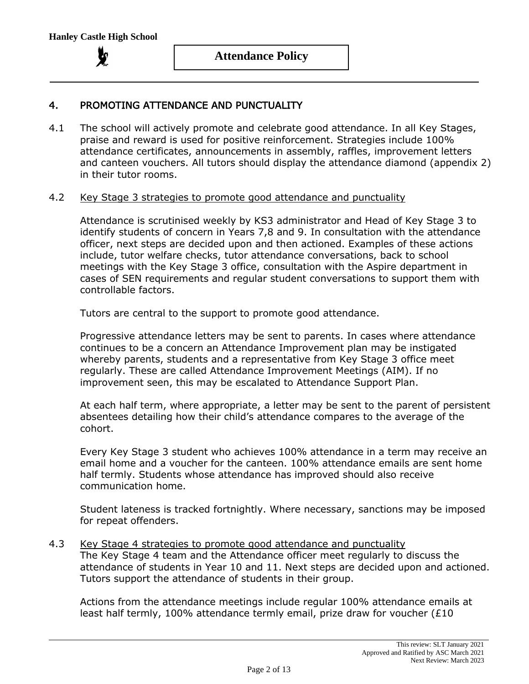# 4. PROMOTING ATTENDANCE AND PUNCTUALITY

4.1 The school will actively promote and celebrate good attendance. In all Key Stages, praise and reward is used for positive reinforcement. Strategies include 100% attendance certificates, announcements in assembly, raffles, improvement letters and canteen vouchers. All tutors should display the attendance diamond (appendix 2) in their tutor rooms.

#### 4.2 Key Stage 3 strategies to promote good attendance and punctuality

Attendance is scrutinised weekly by KS3 administrator and Head of Key Stage 3 to identify students of concern in Years 7,8 and 9. In consultation with the attendance officer, next steps are decided upon and then actioned. Examples of these actions include, tutor welfare checks, tutor attendance conversations, back to school meetings with the Key Stage 3 office, consultation with the Aspire department in cases of SEN requirements and regular student conversations to support them with controllable factors.

Tutors are central to the support to promote good attendance.

Progressive attendance letters may be sent to parents. In cases where attendance continues to be a concern an Attendance Improvement plan may be instigated whereby parents, students and a representative from Key Stage 3 office meet regularly. These are called Attendance Improvement Meetings (AIM). If no improvement seen, this may be escalated to Attendance Support Plan.

At each half term, where appropriate, a letter may be sent to the parent of persistent absentees detailing how their child's attendance compares to the average of the cohort.

Every Key Stage 3 student who achieves 100% attendance in a term may receive an email home and a voucher for the canteen. 100% attendance emails are sent home half termly. Students whose attendance has improved should also receive communication home.

Student lateness is tracked fortnightly. Where necessary, sanctions may be imposed for repeat offenders.

#### 4.3 Key Stage 4 strategies to promote good attendance and punctuality The Key Stage 4 team and the Attendance officer meet regularly to discuss the

attendance of students in Year 10 and 11. Next steps are decided upon and actioned. Tutors support the attendance of students in their group.

Actions from the attendance meetings include regular 100% attendance emails at least half termly, 100% attendance termly email, prize draw for voucher (£10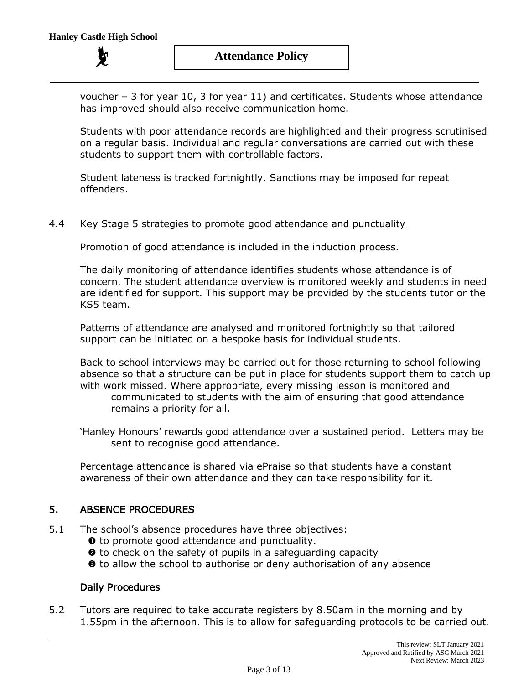voucher – 3 for year 10, 3 for year 11) and certificates. Students whose attendance has improved should also receive communication home.

Students with poor attendance records are highlighted and their progress scrutinised on a regular basis. Individual and regular conversations are carried out with these students to support them with controllable factors.

Student lateness is tracked fortnightly. Sanctions may be imposed for repeat offenders.

#### 4.4 Key Stage 5 strategies to promote good attendance and punctuality

Promotion of good attendance is included in the induction process.

The daily monitoring of attendance identifies students whose attendance is of concern. The student attendance overview is monitored weekly and students in need are identified for support. This support may be provided by the students tutor or the KS5 team.

Patterns of attendance are analysed and monitored fortnightly so that tailored support can be initiated on a bespoke basis for individual students.

Back to school interviews may be carried out for those returning to school following absence so that a structure can be put in place for students support them to catch up with work missed. Where appropriate, every missing lesson is monitored and communicated to students with the aim of ensuring that good attendance remains a priority for all.

'Hanley Honours' rewards good attendance over a sustained period. Letters may be sent to recognise good attendance.

Percentage attendance is shared via ePraise so that students have a constant awareness of their own attendance and they can take responsibility for it.

#### 5. ABSENCE PROCEDURES

- 5.1 The school's absence procedures have three objectives:
	- $\bullet$  to promote good attendance and punctuality.
	- $\Theta$  to check on the safety of pupils in a safeguarding capacity
	- $\Theta$  to allow the school to authorise or deny authorisation of any absence

#### Daily Procedures

5.2 Tutors are required to take accurate registers by 8.50am in the morning and by 1.55pm in the afternoon. This is to allow for safeguarding protocols to be carried out.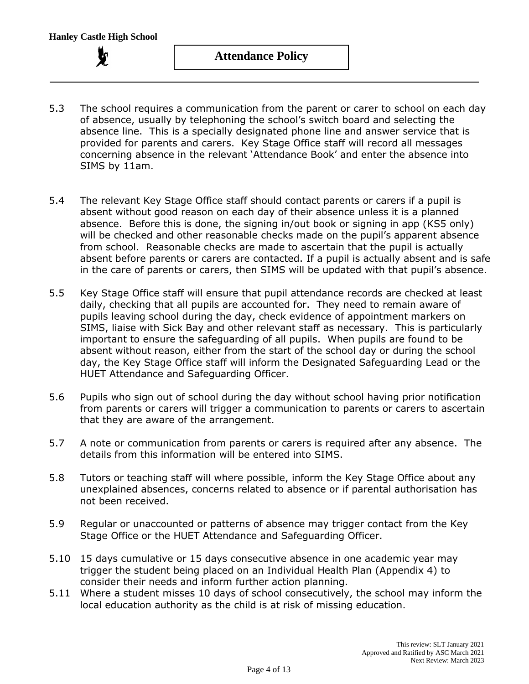- 5.3 The school requires a communication from the parent or carer to school on each day of absence, usually by telephoning the school's switch board and selecting the absence line. This is a specially designated phone line and answer service that is provided for parents and carers. Key Stage Office staff will record all messages concerning absence in the relevant 'Attendance Book' and enter the absence into SIMS by 11am.
- 5.4 The relevant Key Stage Office staff should contact parents or carers if a pupil is absent without good reason on each day of their absence unless it is a planned absence. Before this is done, the signing in/out book or signing in app (KS5 only) will be checked and other reasonable checks made on the pupil's apparent absence from school. Reasonable checks are made to ascertain that the pupil is actually absent before parents or carers are contacted. If a pupil is actually absent and is safe in the care of parents or carers, then SIMS will be updated with that pupil's absence.
- 5.5 Key Stage Office staff will ensure that pupil attendance records are checked at least daily, checking that all pupils are accounted for. They need to remain aware of pupils leaving school during the day, check evidence of appointment markers on SIMS, liaise with Sick Bay and other relevant staff as necessary. This is particularly important to ensure the safeguarding of all pupils. When pupils are found to be absent without reason, either from the start of the school day or during the school day, the Key Stage Office staff will inform the Designated Safeguarding Lead or the HUET Attendance and Safeguarding Officer.
- 5.6 Pupils who sign out of school during the day without school having prior notification from parents or carers will trigger a communication to parents or carers to ascertain that they are aware of the arrangement.
- 5.7 A note or communication from parents or carers is required after any absence. The details from this information will be entered into SIMS.
- 5.8 Tutors or teaching staff will where possible, inform the Key Stage Office about any unexplained absences, concerns related to absence or if parental authorisation has not been received.
- 5.9 Regular or unaccounted or patterns of absence may trigger contact from the Key Stage Office or the HUET Attendance and Safeguarding Officer.
- 5.10 15 days cumulative or 15 days consecutive absence in one academic year may trigger the student being placed on an Individual Health Plan (Appendix 4) to consider their needs and inform further action planning.
- 5.11 Where a student misses 10 days of school consecutively, the school may inform the local education authority as the child is at risk of missing education.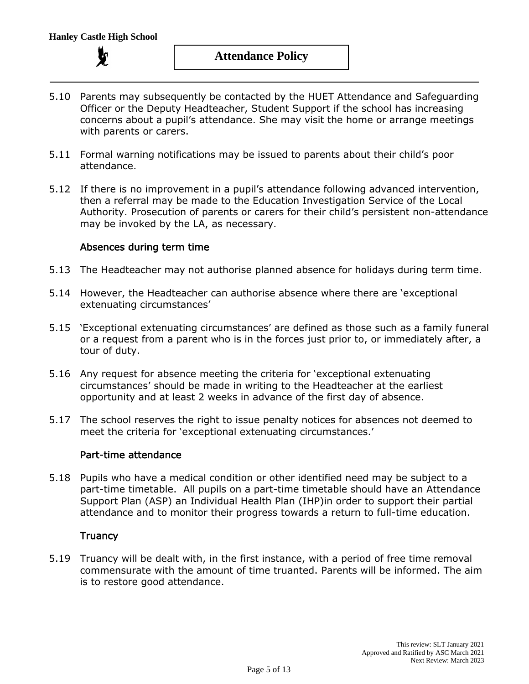

- 5.10 Parents may subsequently be contacted by the HUET Attendance and Safeguarding Officer or the Deputy Headteacher, Student Support if the school has increasing concerns about a pupil's attendance. She may visit the home or arrange meetings with parents or carers.
- 5.11 Formal warning notifications may be issued to parents about their child's poor attendance.
- 5.12 If there is no improvement in a pupil's attendance following advanced intervention, then a referral may be made to the Education Investigation Service of the Local Authority. Prosecution of parents or carers for their child's persistent non-attendance may be invoked by the LA, as necessary.

#### Absences during term time

- 5.13 The Headteacher may not authorise planned absence for holidays during term time.
- 5.14 However, the Headteacher can authorise absence where there are 'exceptional extenuating circumstances'
- 5.15 'Exceptional extenuating circumstances' are defined as those such as a family funeral or a request from a parent who is in the forces just prior to, or immediately after, a tour of duty.
- 5.16 Any request for absence meeting the criteria for 'exceptional extenuating circumstances' should be made in writing to the Headteacher at the earliest opportunity and at least 2 weeks in advance of the first day of absence.
- 5.17 The school reserves the right to issue penalty notices for absences not deemed to meet the criteria for 'exceptional extenuating circumstances.'

#### Part-time attendance

5.18 Pupils who have a medical condition or other identified need may be subject to a part-time timetable. All pupils on a part-time timetable should have an Attendance Support Plan (ASP) an Individual Health Plan (IHP)in order to support their partial attendance and to monitor their progress towards a return to full-time education.

#### **Truancy**

5.19 Truancy will be dealt with, in the first instance, with a period of free time removal commensurate with the amount of time truanted. Parents will be informed. The aim is to restore good attendance.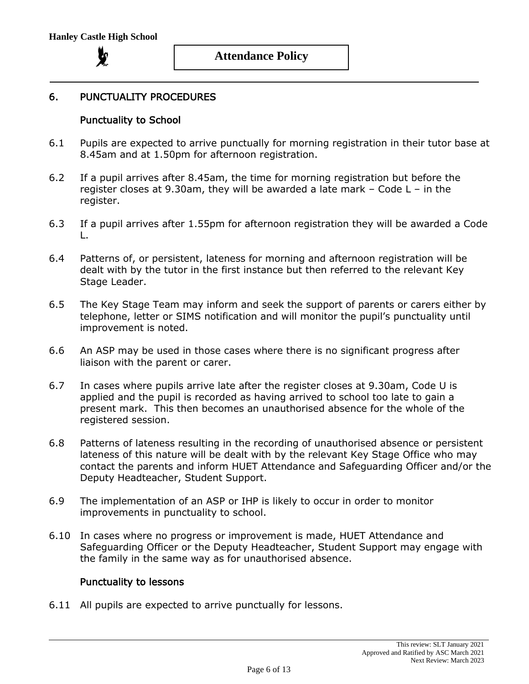

# **Attendance Policy**

### 6. PUNCTUALITY PROCEDURES

#### Punctuality to School

- 6.1 Pupils are expected to arrive punctually for morning registration in their tutor base at 8.45am and at 1.50pm for afternoon registration.
- 6.2 If a pupil arrives after 8.45am, the time for morning registration but before the register closes at 9.30am, they will be awarded a late mark – Code L – in the register.
- 6.3 If a pupil arrives after 1.55pm for afternoon registration they will be awarded a Code L.
- 6.4 Patterns of, or persistent, lateness for morning and afternoon registration will be dealt with by the tutor in the first instance but then referred to the relevant Key Stage Leader.
- 6.5 The Key Stage Team may inform and seek the support of parents or carers either by telephone, letter or SIMS notification and will monitor the pupil's punctuality until improvement is noted.
- 6.6 An ASP may be used in those cases where there is no significant progress after liaison with the parent or carer.
- 6.7 In cases where pupils arrive late after the register closes at 9.30am, Code U is applied and the pupil is recorded as having arrived to school too late to gain a present mark. This then becomes an unauthorised absence for the whole of the registered session.
- 6.8 Patterns of lateness resulting in the recording of unauthorised absence or persistent lateness of this nature will be dealt with by the relevant Key Stage Office who may contact the parents and inform HUET Attendance and Safeguarding Officer and/or the Deputy Headteacher, Student Support.
- 6.9 The implementation of an ASP or IHP is likely to occur in order to monitor improvements in punctuality to school.
- 6.10 In cases where no progress or improvement is made, HUET Attendance and Safeguarding Officer or the Deputy Headteacher, Student Support may engage with the family in the same way as for unauthorised absence.

#### Punctuality to lessons

6.11 All pupils are expected to arrive punctually for lessons.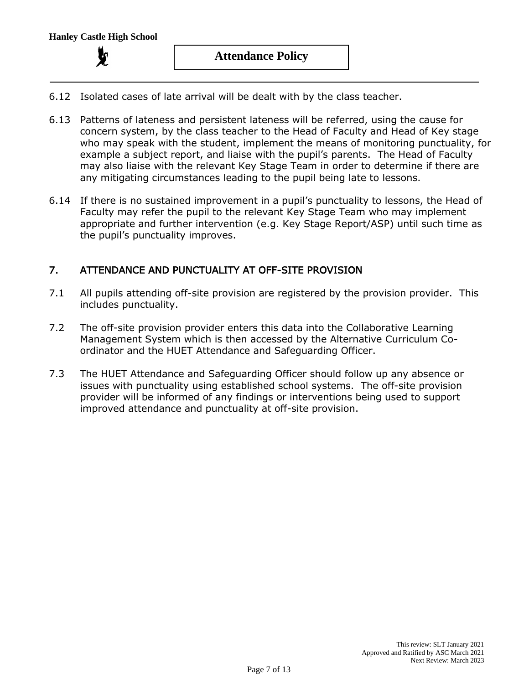- 6.12 Isolated cases of late arrival will be dealt with by the class teacher.
- 6.13 Patterns of lateness and persistent lateness will be referred, using the cause for concern system, by the class teacher to the Head of Faculty and Head of Key stage who may speak with the student, implement the means of monitoring punctuality, for example a subject report, and liaise with the pupil's parents. The Head of Faculty may also liaise with the relevant Key Stage Team in order to determine if there are any mitigating circumstances leading to the pupil being late to lessons.
- 6.14 If there is no sustained improvement in a pupil's punctuality to lessons, the Head of Faculty may refer the pupil to the relevant Key Stage Team who may implement appropriate and further intervention (e.g. Key Stage Report/ASP) until such time as the pupil's punctuality improves.

# 7. ATTENDANCE AND PUNCTUALITY AT OFF-SITE PROVISION

- 7.1 All pupils attending off-site provision are registered by the provision provider. This includes punctuality.
- 7.2 The off-site provision provider enters this data into the Collaborative Learning Management System which is then accessed by the Alternative Curriculum Coordinator and the HUET Attendance and Safeguarding Officer.
- 7.3 The HUET Attendance and Safeguarding Officer should follow up any absence or issues with punctuality using established school systems. The off-site provision provider will be informed of any findings or interventions being used to support improved attendance and punctuality at off-site provision.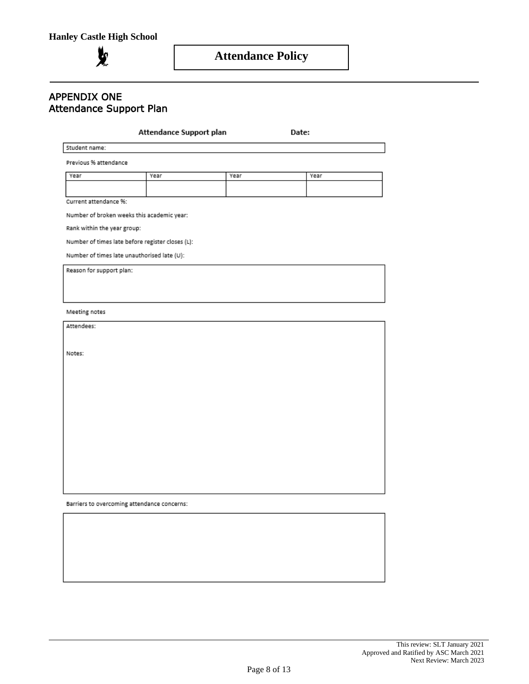**in** 

#### APPENDIX ONE Attendance Support Plan

#### Attendance Support plan

Date:

Student name:

Previous % attendance

| Year | Year | Year | Year |
|------|------|------|------|
|      |      |      |      |
|      |      |      |      |

Current attendance %:

Number of broken weeks this academic year:

Rank within the year group:

Number of times late before register closes (L):

Number of times late unauthorised late (U):

Reason for support plan:

Meeting notes

Attendees:

Notes:

Barriers to overcoming attendance concerns: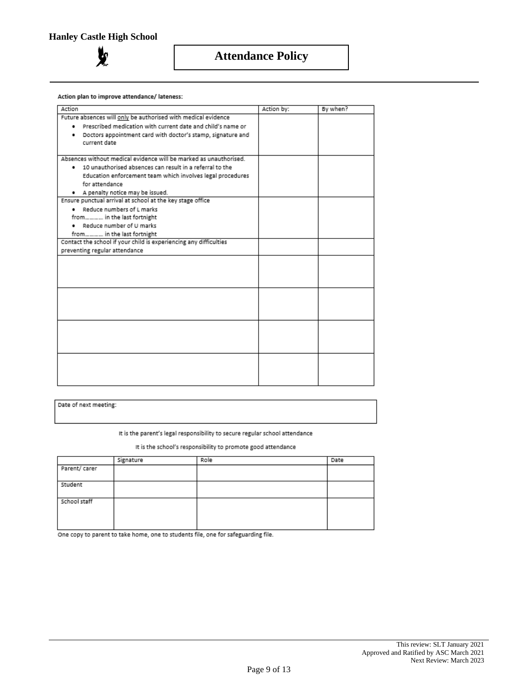ZΩ

# **Attendance Policy**

Action plan to improve attendance/ lateness:

| Action                                                            | Action by: | By when? |
|-------------------------------------------------------------------|------------|----------|
| Future absences will only be authorised with medical evidence     |            |          |
| Prescribed medication with current date and child's name or<br>٠  |            |          |
| Doctors appointment card with doctor's stamp, signature and<br>٠  |            |          |
| current date                                                      |            |          |
|                                                                   |            |          |
| Absences without medical evidence will be marked as unauthorised. |            |          |
| . 10 unauthorised absences can result in a referral to the        |            |          |
| Education enforcement team which involves legal procedures        |            |          |
| for attendance                                                    |            |          |
| . A penalty notice may be issued.                                 |            |          |
| Ensure punctual arrival at school at the key stage office         |            |          |
| Reduce numbers of L marks                                         |            |          |
| from in the last fortnight                                        |            |          |
| Reduce number of U marks                                          |            |          |
| from in the last fortnight                                        |            |          |
| Contact the school if your child is experiencing any difficulties |            |          |
| preventing regular attendance                                     |            |          |
|                                                                   |            |          |
|                                                                   |            |          |
|                                                                   |            |          |
|                                                                   |            |          |
|                                                                   |            |          |
|                                                                   |            |          |
|                                                                   |            |          |
|                                                                   |            |          |
|                                                                   |            |          |
|                                                                   |            |          |
|                                                                   |            |          |
|                                                                   |            |          |
|                                                                   |            |          |
|                                                                   |            |          |
|                                                                   |            |          |
|                                                                   |            |          |

Date of next meeting:

It is the parent's legal responsibility to secure regular school attendance

It is the school's responsibility to promote good attendance

|               | Signature | Role | Date |
|---------------|-----------|------|------|
| Parent/ carer |           |      |      |
| Student       |           |      |      |
| School staff  |           |      |      |

One copy to parent to take home, one to students file, one for safeguarding file.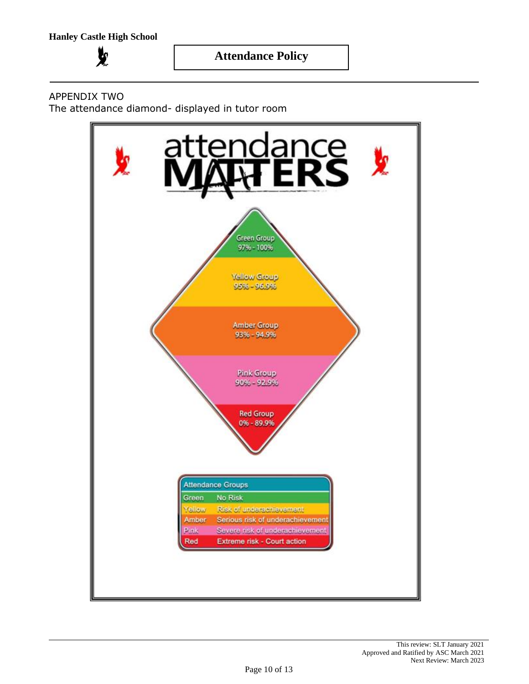

# APPENDIX TWO

The attendance diamond- displayed in tutor room

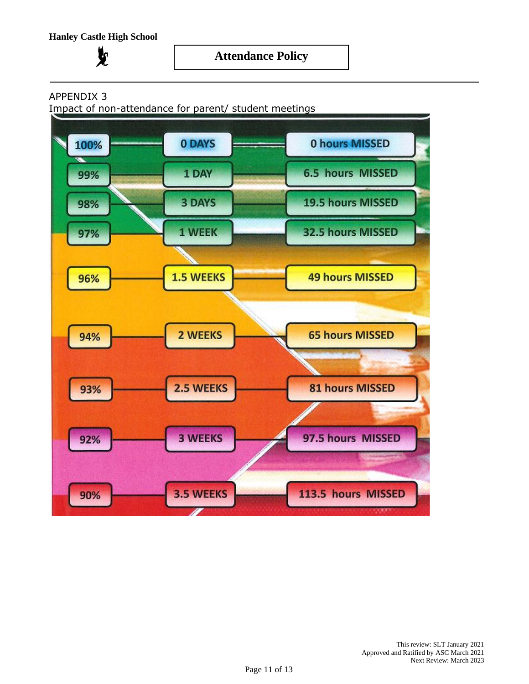$\mathbf{y}$ 



# APPENDIX 3

Impact of non-attendance for parent/ student meetings

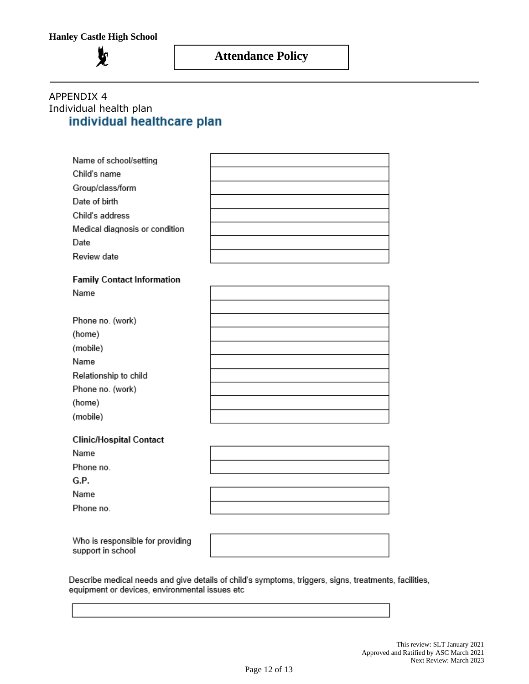

# APPENDIX 4 Individual health planindividual healthcare plan

| Name of school/setting            |  |
|-----------------------------------|--|
| Child's name                      |  |
| Group/class/form                  |  |
| Date of birth                     |  |
| Child's address                   |  |
| Medical diagnosis or condition    |  |
| Date                              |  |
| Review date                       |  |
|                                   |  |
| <b>Family Contact Information</b> |  |
| Name                              |  |
|                                   |  |
| Phone no. (work)                  |  |
| (home)                            |  |
| (mobile)                          |  |
| Name                              |  |
| Relationship to child             |  |
| Phone no. (work)                  |  |
| (home)                            |  |
| (mobile)                          |  |
|                                   |  |
| <b>Clinic/Hospital Contact</b>    |  |
| Name                              |  |
| Phone no.                         |  |
| G.P.                              |  |

Who is responsible for providing support in school

Name Phone no.

Describe medical needs and give details of child's symptoms, triggers, signs, treatments, facilities, equipment or devices, environmental issues etc